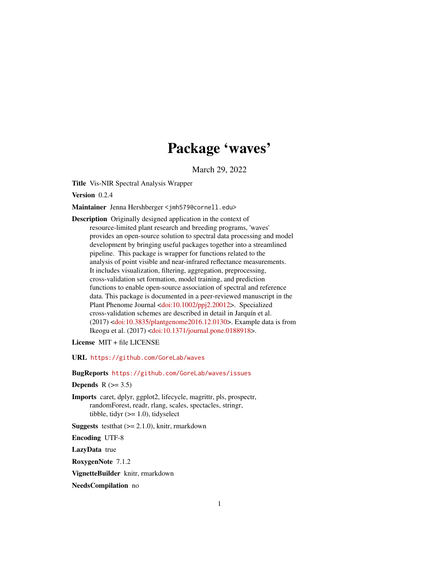# Package 'waves'

March 29, 2022

<span id="page-0-0"></span>Title Vis-NIR Spectral Analysis Wrapper

Version 0.2.4

Maintainer Jenna Hershberger <jmh579@cornell.edu>

Description Originally designed application in the context of resource-limited plant research and breeding programs, 'waves' provides an open-source solution to spectral data processing and model development by bringing useful packages together into a streamlined pipeline. This package is wrapper for functions related to the analysis of point visible and near-infrared reflectance measurements. It includes visualization, filtering, aggregation, preprocessing, cross-validation set formation, model training, and prediction functions to enable open-source association of spectral and reference data. This package is documented in a peer-reviewed manuscript in the Plant Phenome Journal [<doi:10.1002/ppj2.20012>](https://doi.org/10.1002/ppj2.20012). Specialized cross-validation schemes are described in detail in Jarquín et al. (2017) [<doi:10.3835/plantgenome2016.12.0130>](https://doi.org/10.3835/plantgenome2016.12.0130). Example data is from Ikeogu et al. (2017) [<doi:10.1371/journal.pone.0188918>](https://doi.org/10.1371/journal.pone.0188918).

License MIT + file LICENSE

URL <https://github.com/GoreLab/waves>

BugReports <https://github.com/GoreLab/waves/issues>

Depends  $R$  ( $> = 3.5$ )

Imports caret, dplyr, ggplot2, lifecycle, magrittr, pls, prospectr, randomForest, readr, rlang, scales, spectacles, stringr, tibble, tidyr  $(>= 1.0)$ , tidyselect

**Suggests** testthat  $(>= 2.1.0)$ , knitr, rmarkdown

Encoding UTF-8

LazyData true

RoxygenNote 7.1.2

VignetteBuilder knitr, rmarkdown

NeedsCompilation no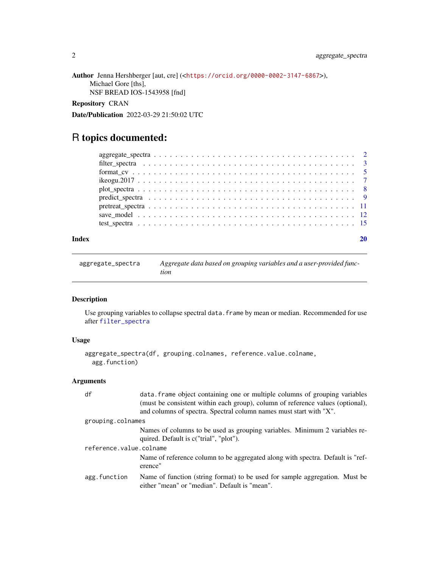```
Author Jenna Hershberger [aut, cre] (<https://orcid.org/0000-0002-3147-6867>),
     Michael Gore [ths],
     NSF BREAD IOS-1543958 [fnd]
```
#### Repository CRAN

Date/Publication 2022-03-29 21:50:02 UTC

# R topics documented:

| filter spectra $\ldots \ldots \ldots \ldots \ldots \ldots \ldots \ldots \ldots \ldots \ldots \ldots \ldots$ |  |  |  |  |  |  |  |  |  |  |  |  |  |  |  |  |  |  |  |  |
|-------------------------------------------------------------------------------------------------------------|--|--|--|--|--|--|--|--|--|--|--|--|--|--|--|--|--|--|--|--|
|                                                                                                             |  |  |  |  |  |  |  |  |  |  |  |  |  |  |  |  |  |  |  |  |
|                                                                                                             |  |  |  |  |  |  |  |  |  |  |  |  |  |  |  |  |  |  |  |  |
|                                                                                                             |  |  |  |  |  |  |  |  |  |  |  |  |  |  |  |  |  |  |  |  |
|                                                                                                             |  |  |  |  |  |  |  |  |  |  |  |  |  |  |  |  |  |  |  |  |
|                                                                                                             |  |  |  |  |  |  |  |  |  |  |  |  |  |  |  |  |  |  |  |  |
|                                                                                                             |  |  |  |  |  |  |  |  |  |  |  |  |  |  |  |  |  |  |  |  |
|                                                                                                             |  |  |  |  |  |  |  |  |  |  |  |  |  |  |  |  |  |  |  |  |
|                                                                                                             |  |  |  |  |  |  |  |  |  |  |  |  |  |  |  |  |  |  |  |  |

#### **Index** [20](#page-19-0)

aggregate\_spectra *Aggregate data based on grouping variables and a user-provided function*

#### Description

Use grouping variables to collapse spectral data. frame by mean or median. Recommended for use after [filter\\_spectra](#page-2-1)

#### Usage

```
aggregate_spectra(df, grouping.colnames, reference.value.colname,
 agg.function)
```

| df                      | data. Frame object containing one or multiple columns of grouping variables                                                  |  |  |  |  |
|-------------------------|------------------------------------------------------------------------------------------------------------------------------|--|--|--|--|
|                         | (must be consistent within each group), column of reference values (optional),                                               |  |  |  |  |
|                         | and columns of spectra. Spectral column names must start with "X".                                                           |  |  |  |  |
| grouping.colnames       |                                                                                                                              |  |  |  |  |
|                         | Names of columns to be used as grouping variables. Minimum 2 variables re-<br>quired. Default is c("trial", "plot").         |  |  |  |  |
| reference.value.colname |                                                                                                                              |  |  |  |  |
|                         |                                                                                                                              |  |  |  |  |
|                         | Name of reference column to be aggregated along with spectra. Default is "ref-<br>erence"                                    |  |  |  |  |
| agg.function            | Name of function (string format) to be used for sample aggregation. Must be<br>either "mean" or "median". Default is "mean". |  |  |  |  |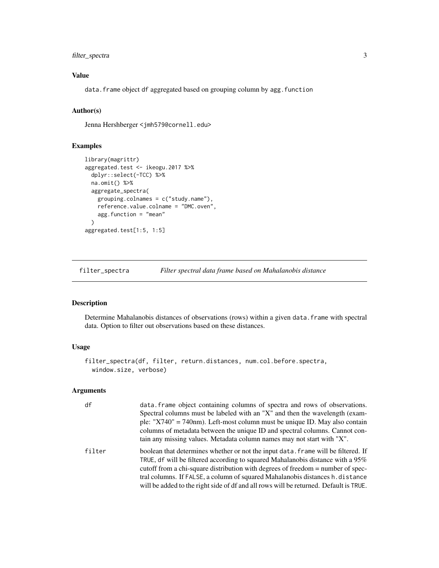#### <span id="page-2-0"></span>filter\_spectra 3

# Value

data.frame object df aggregated based on grouping column by agg.function

# Author(s)

Jenna Hershberger <jmh579@cornell.edu>

#### Examples

```
library(magrittr)
aggregated.test <- ikeogu.2017 %>%
  dplyr::select(-TCC) %>%
  na.omit() %>%
  aggregate_spectra(
   grouping.colnames = c("study.name"),
   reference.value.colname = "DMC.oven",
   agg.function = "mean"
  \lambdaaggregated.test[1:5, 1:5]
```
<span id="page-2-1"></span>filter\_spectra *Filter spectral data frame based on Mahalanobis distance*

#### Description

Determine Mahalanobis distances of observations (rows) within a given data.frame with spectral data. Option to filter out observations based on these distances.

# Usage

```
filter_spectra(df, filter, return.distances, num.col.before.spectra,
  window.size, verbose)
```

| df     | data. Frame object containing columns of spectra and rows of observations.<br>Spectral columns must be labeled with an "X" and then the wavelength (exam-<br>ple: " $X740$ " = 740nm). Left-most column must be unique ID. May also contain<br>columns of metadata between the unique ID and spectral columns. Cannot con-<br>tain any missing values. Metadata column names may not start with "X".                               |
|--------|------------------------------------------------------------------------------------------------------------------------------------------------------------------------------------------------------------------------------------------------------------------------------------------------------------------------------------------------------------------------------------------------------------------------------------|
| filter | boolean that determines whether or not the input data. Frame will be filtered. If<br>TRUE, df will be filtered according to squared Mahalanobis distance with a $95\%$<br>cutoff from a chi-square distribution with degrees of freedom = number of spec-<br>tral columns. If FALSE, a column of squared Mahalanobis distances h.distance<br>will be added to the right side of df and all rows will be returned. Default is TRUE. |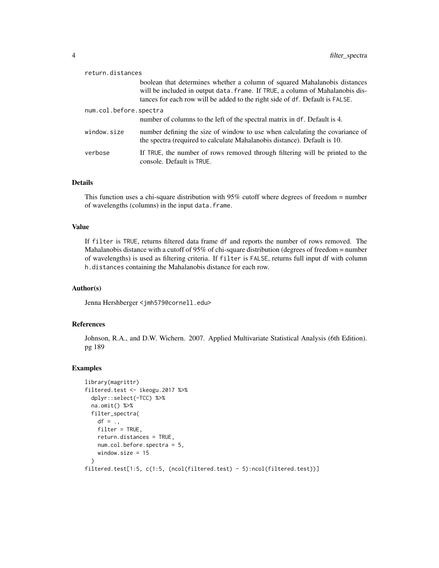| return.distances       |                                                                                                                                                                                                                                            |
|------------------------|--------------------------------------------------------------------------------------------------------------------------------------------------------------------------------------------------------------------------------------------|
|                        | boolean that determines whether a column of squared Mahalanobis distances<br>will be included in output data. frame. If TRUE, a column of Mahalanobis dis-<br>tances for each row will be added to the right side of df. Default is FALSE. |
| num.col.before.spectra | number of columns to the left of the spectral matrix in df. Default is 4.                                                                                                                                                                  |
| window.size            | number defining the size of window to use when calculating the covariance of<br>the spectra (required to calculate Mahalanobis distance). Default is 10.                                                                                   |
| verbose                | If TRUE, the number of rows removed through filtering will be printed to the<br>console. Default is TRUE.                                                                                                                                  |

#### Details

This function uses a chi-square distribution with 95% cutoff where degrees of freedom = number of wavelengths (columns) in the input data.frame.

#### Value

If filter is TRUE, returns filtered data frame df and reports the number of rows removed. The Mahalanobis distance with a cutoff of 95% of chi-square distribution (degrees of freedom = number of wavelengths) is used as filtering criteria. If filter is FALSE, returns full input df with column h.distances containing the Mahalanobis distance for each row.

#### Author(s)

Jenna Hershberger <jmh579@cornell.edu>

# References

Johnson, R.A., and D.W. Wichern. 2007. Applied Multivariate Statistical Analysis (6th Edition). pg 189

```
library(magrittr)
filtered.test <- ikeogu.2017 %>%
 dplyr::select(-TCC) %>%
 na.omit() %>%
 filter_spectra(
   df = .,
   filter = TRUE,
   return.distances = TRUE,
   num.col.before.spectra = 5,
    window.size = 15
 \lambdafiltered.test[1:5, c(1:5, (ncol(filtered.test) - 5):ncol(filtered.test))]
```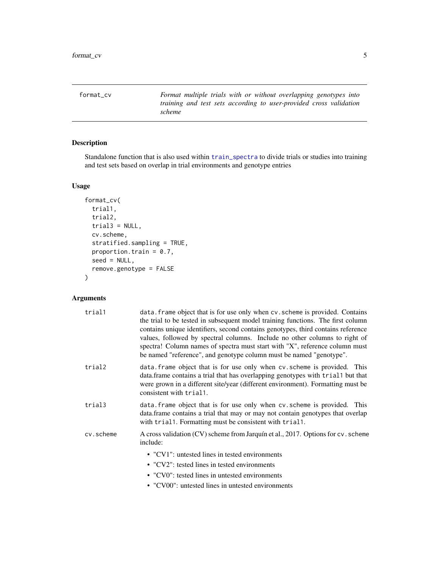<span id="page-4-1"></span><span id="page-4-0"></span>format\_cv *Format multiple trials with or without overlapping genotypes into training and test sets according to user-provided cross validation scheme*

# Description

Standalone function that is also used within [train\\_spectra](#page-0-0) to divide trials or studies into training and test sets based on overlap in trial environments and genotype entries

#### Usage

```
format_cv(
  trial1,
  trial2,
 trial3 = NULL,cv.scheme,
 stratified.sampling = TRUE,
 proportion.train = 0.7,
 seed = NULL,
  remove.genotype = FALSE
)
```

| trial1    | data. frame object that is for use only when cv. scheme is provided. Contains<br>the trial to be tested in subsequent model training functions. The first column<br>contains unique identifiers, second contains genotypes, third contains reference<br>values, followed by spectral columns. Include no other columns to right of<br>spectra! Column names of spectra must start with "X", reference column must<br>be named "reference", and genotype column must be named "genotype". |
|-----------|------------------------------------------------------------------------------------------------------------------------------------------------------------------------------------------------------------------------------------------------------------------------------------------------------------------------------------------------------------------------------------------------------------------------------------------------------------------------------------------|
| trial2    | data. frame object that is for use only when cv. scheme is provided. This<br>data. frame contains a trial that has overlapping genotypes with trial but that<br>were grown in a different site/year (different environment). Formatting must be<br>consistent with trial1.                                                                                                                                                                                                               |
| trial3    | data. frame object that is for use only when cv. scheme is provided. This<br>data.frame contains a trial that may or may not contain genotypes that overlap<br>with trial1. Formatting must be consistent with trial1.                                                                                                                                                                                                                                                                   |
| cv.scheme | A cross validation (CV) scheme from Jarquín et al., 2017. Options for cv. scheme<br>include:                                                                                                                                                                                                                                                                                                                                                                                             |
|           | • "CV1": untested lines in tested environments                                                                                                                                                                                                                                                                                                                                                                                                                                           |
|           | • "CV2": tested lines in tested environments                                                                                                                                                                                                                                                                                                                                                                                                                                             |
|           | • "CV0": tested lines in untested environments                                                                                                                                                                                                                                                                                                                                                                                                                                           |
|           | • "CV00": untested lines in untested environments                                                                                                                                                                                                                                                                                                                                                                                                                                        |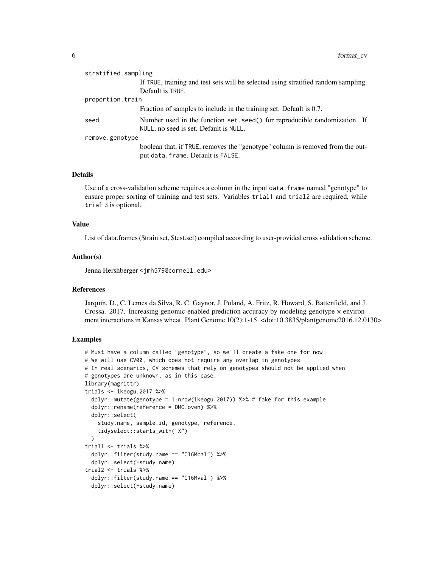| stratified.sampling |                                                                                                                     |  |  |  |  |
|---------------------|---------------------------------------------------------------------------------------------------------------------|--|--|--|--|
|                     | If TRUE, training and test sets will be selected using stratified random sampling.                                  |  |  |  |  |
|                     | Default is TRUE.                                                                                                    |  |  |  |  |
| proportion.train    |                                                                                                                     |  |  |  |  |
|                     | Fraction of samples to include in the training set. Default is 0.7.                                                 |  |  |  |  |
| seed                | Number used in the function set. seed() for reproducible randomization. If                                          |  |  |  |  |
|                     | NULL, no seed is set. Default is NULL.                                                                              |  |  |  |  |
| remove.genotype     |                                                                                                                     |  |  |  |  |
|                     | boolean that, if TRUE, removes the "genotype" column is removed from the out-<br>put data. frame. Default is FALSE. |  |  |  |  |

#### Details

Use of a cross-validation scheme requires a column in the input data.frame named "genotype" to ensure proper sorting of training and test sets. Variables trial1 and trial2 are required, while trial 3 is optional.

#### Value

List of data.frames (\$train.set, \$test.set) compiled according to user-provided cross validation scheme.

#### Author(s)

Jenna Hershberger <jmh579@cornell.edu>

#### References

Jarquín, D., C. Lemes da Silva, R. C. Gaynor, J. Poland, A. Fritz, R. Howard, S. Battenfield, and J. Crossa. 2017. Increasing genomic-enabled prediction accuracy by modeling genotype  $\times$  environment interactions in Kansas wheat. Plant Genome 10(2):1-15. <doi:10.3835/plantgenome2016.12.0130>

```
# Must have a column called "genotype", so we'll create a fake one for now
# We will use CV00, which does not require any overlap in genotypes
# In real scenarios, CV schemes that rely on genotypes should not be applied when
# genotypes are unknown, as in this case.
library(magrittr)
trials \le ikeogu.2017 %>%
  dplyr::mutate(genotype = 1:nrow(ikeogu.2017)) %>% # fake for this example
  dplyr::rename(reference = DMC.oven) %>%
  dplyr::select(
    study.name, sample.id, genotype, reference,
    tidyselect::starts_with("X")
  \lambdatrial1 <- trials %>%
  dplyr::filter(study.name == "C16Mcal") %>%
  dplyr::select(-study.name)
trial2 <- trials %>%
  dplyr::filter(study.name == "C16Mval") %>%
  dplyr::select(-study.name)
```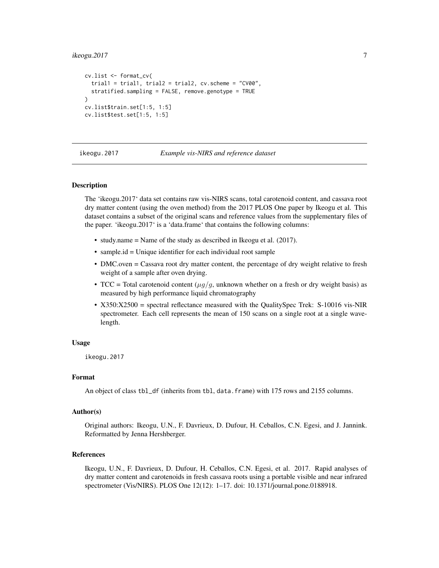#### <span id="page-6-0"></span> $i$ keogu. $2017$   $7$

```
cv.list <- format_cv(
  trial1 = trial1, trial2 = trial2, cv.scheme = "CV00",
  stratified.sampling = FALSE, remove.genotype = TRUE
)
cv.list$train.set[1:5, 1:5]
cv.list$test.set[1:5, 1:5]
```
ikeogu.2017 *Example vis-NIRS and reference dataset*

#### Description

The 'ikeogu.2017' data set contains raw vis-NIRS scans, total carotenoid content, and cassava root dry matter content (using the oven method) from the 2017 PLOS One paper by Ikeogu et al. This dataset contains a subset of the original scans and reference values from the supplementary files of the paper. 'ikeogu.2017' is a 'data.frame' that contains the following columns:

- study.name = Name of the study as described in Ikeogu et al. (2017).
- sample.id = Unique identifier for each individual root sample
- DMC.oven = Cassava root dry matter content, the percentage of dry weight relative to fresh weight of a sample after oven drying.
- TCC = Total carotenoid content  $(\mu q/q)$ , unknown whether on a fresh or dry weight basis) as measured by high performance liquid chromatography
- X350:X2500 = spectral reflectance measured with the QualitySpec Trek: S-10016 vis-NIR spectrometer. Each cell represents the mean of 150 scans on a single root at a single wavelength.

#### Usage

ikeogu.2017

#### Format

An object of class tbl\_df (inherits from tbl, data.frame) with 175 rows and 2155 columns.

#### Author(s)

Original authors: Ikeogu, U.N., F. Davrieux, D. Dufour, H. Ceballos, C.N. Egesi, and J. Jannink. Reformatted by Jenna Hershberger.

#### References

Ikeogu, U.N., F. Davrieux, D. Dufour, H. Ceballos, C.N. Egesi, et al. 2017. Rapid analyses of dry matter content and carotenoids in fresh cassava roots using a portable visible and near infrared spectrometer (Vis/NIRS). PLOS One 12(12): 1–17. doi: 10.1371/journal.pone.0188918.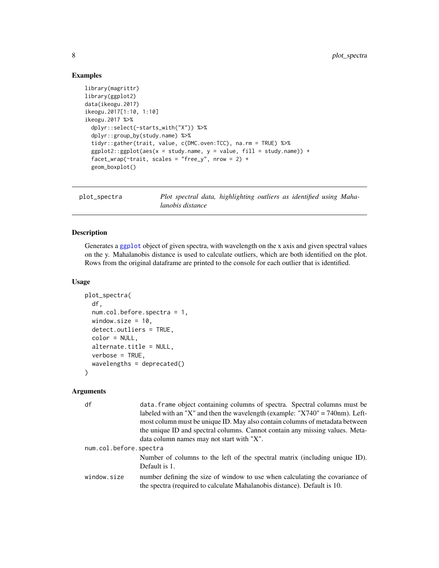# Examples

```
library(magrittr)
library(ggplot2)
data(ikeogu.2017)
ikeogu.2017[1:10, 1:10]
ikeogu.2017 %>%
  dplyr::select(-starts_with("X")) %>%
  dplyr::group_by(study.name) %>%
  tidyr::gather(trait, value, c(DMC.oven:TCC), na.rm = TRUE) %>%
  ggplot2::ggplot(aes(x = study.name, y = value, fill = study.name)) +facet_wrap(~trait, scales = "free_y", nrow = 2) +
  geom_boxplot()
```

```
plot_spectra Plot spectral data, highlighting outliers as identified using Maha-
                       lanobis distance
```
#### Description

Generates a [ggplot](#page-0-0) object of given spectra, with wavelength on the x axis and given spectral values on the y. Mahalanobis distance is used to calculate outliers, which are both identified on the plot. Rows from the original dataframe are printed to the console for each outlier that is identified.

#### Usage

```
plot_spectra(
  df,
  num.col.before.spectra = 1,
  window.size = 10,
  detect.outliers = TRUE,
  color = NULL,
  alternate.title = NULL,
  verbose = TRUE,
  wavelengths = deprecated()
)
```

| df                     | data. Frame object containing columns of spectra. Spectral columns must be<br>labeled with an "X" and then the wavelength (example: " $X740$ " = 740nm). Left-<br>most column must be unique ID. May also contain columns of metadata between<br>the unique ID and spectral columns. Cannot contain any missing values. Meta-<br>data column names may not start with "X". |  |  |  |  |
|------------------------|----------------------------------------------------------------------------------------------------------------------------------------------------------------------------------------------------------------------------------------------------------------------------------------------------------------------------------------------------------------------------|--|--|--|--|
| num.col.before.spectra |                                                                                                                                                                                                                                                                                                                                                                            |  |  |  |  |
|                        | Number of columns to the left of the spectral matrix (including unique ID).<br>Default is 1.                                                                                                                                                                                                                                                                               |  |  |  |  |
| window.size            | number defining the size of window to use when calculating the covariance of<br>the spectra (required to calculate Mahalanobis distance). Default is 10.                                                                                                                                                                                                                   |  |  |  |  |

<span id="page-7-0"></span>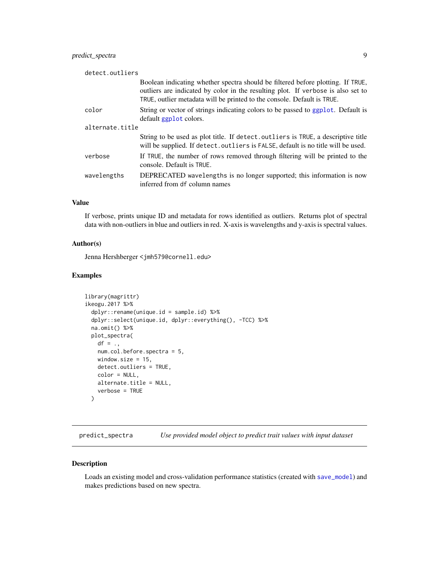#### <span id="page-8-0"></span>predict\_spectra 9

| detect.outliers |                                                                                                                                                                                                                                                |
|-----------------|------------------------------------------------------------------------------------------------------------------------------------------------------------------------------------------------------------------------------------------------|
|                 | Boolean indicating whether spectra should be filtered before plotting. If TRUE,<br>outliers are indicated by color in the resulting plot. If verbose is also set to<br>TRUE, outlier metadata will be printed to the console. Default is TRUE. |
| color           | String or vector of strings indicating colors to be passed to ggplot. Default is<br>default ggplot colors.                                                                                                                                     |
| alternate.title |                                                                                                                                                                                                                                                |
|                 | String to be used as plot title. If detect.outliers is TRUE, a descriptive title<br>will be supplied. If detect. outliers is FALSE, default is no title will be used.                                                                          |
| verbose         | If TRUE, the number of rows removed through filtering will be printed to the<br>console. Default is TRUE.                                                                                                                                      |
| wavelengths     | DEPRECATED wavelengths is no longer supported; this information is now<br>inferred from df column names                                                                                                                                        |

#### Value

If verbose, prints unique ID and metadata for rows identified as outliers. Returns plot of spectral data with non-outliers in blue and outliers in red. X-axis is wavelengths and y-axis is spectral values.

#### Author(s)

Jenna Hershberger <jmh579@cornell.edu>

#### Examples

```
library(magrittr)
ikeogu.2017 %>%
 dplyr::rename(unique.id = sample.id) %>%
 dplyr::select(unique.id, dplyr::everything(), -TCC) %>%
 na.omit() %>%
 plot_spectra(
   df = .,
   num.col.before.spectra = 5,
   window.size = 15,
   detect.outliers = TRUE,
   color = NULL,
   alternate.title = NULL,
   verbose = TRUE
 )
```
predict\_spectra *Use provided model object to predict trait values with input dataset*

#### Description

Loads an existing model and cross-validation performance statistics (created with [save\\_model](#page-11-1)) and makes predictions based on new spectra.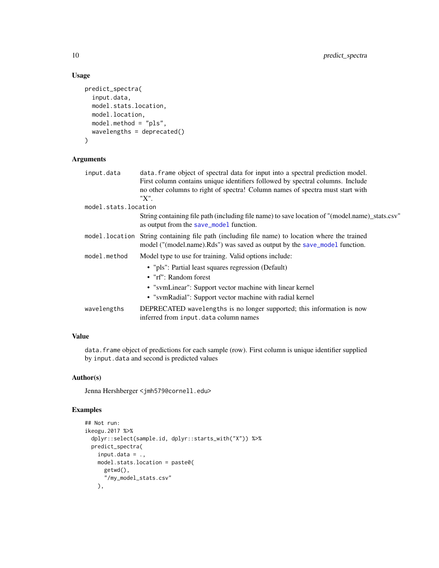#### Usage

```
predict_spectra(
  input.data,
  model.stats.location,
 model.location,
 model.method = "pls",
 wavelengths = deprecated()
)
```
# Arguments

| input.data           | data. Frame object of spectral data for input into a spectral prediction model.                                                                               |
|----------------------|---------------------------------------------------------------------------------------------------------------------------------------------------------------|
|                      | First column contains unique identifiers followed by spectral columns. Include                                                                                |
|                      | no other columns to right of spectra! Column names of spectra must start with                                                                                 |
|                      | "X".                                                                                                                                                          |
| model.stats.location |                                                                                                                                                               |
|                      | String containing file path (including file name) to save location of "(model.name)_stats.csv"<br>as output from the save_mode1 function.                     |
| model.location       | String containing file path (including file name) to location where the trained<br>model ("(model.name).Rds") was saved as output by the save_model function. |
| model.method         | Model type to use for training. Valid options include:                                                                                                        |
|                      | • "pls": Partial least squares regression (Default)                                                                                                           |
|                      | • "rf": Random forest                                                                                                                                         |
|                      | • "svmLinear": Support vector machine with linear kernel                                                                                                      |
|                      | • "svmRadial": Support vector machine with radial kernel                                                                                                      |
| wavelengths          | DEPRECATED wavelengths is no longer supported; this information is now<br>inferred from input.data column names                                               |

# Value

data. frame object of predictions for each sample (row). First column is unique identifier supplied by input.data and second is predicted values

#### Author(s)

Jenna Hershberger <jmh579@cornell.edu>

```
## Not run:
ikeogu.2017 %>%
 dplyr::select(sample.id, dplyr::starts_with("X")) %>%
 predict_spectra(
   input.data = .,
   model.stats.location = paste0(
     getwd(),
      "/my_model_stats.csv"
   ),
```
<span id="page-9-0"></span>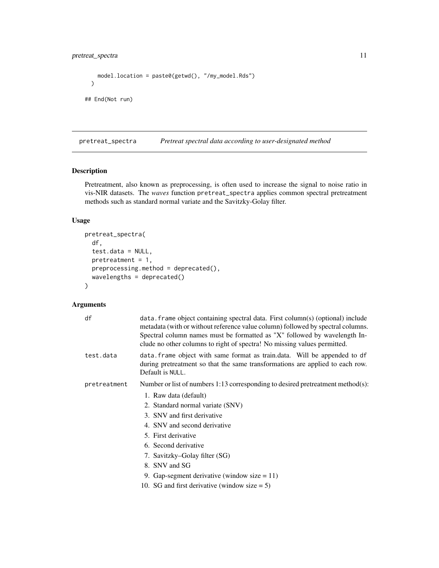```
model.location = paste0(getwd(), "/my_model.Rds")
  \mathcal{L}## End(Not run)
```
<span id="page-10-1"></span>pretreat\_spectra *Pretreat spectral data according to user-designated method*

#### Description

Pretreatment, also known as preprocessing, is often used to increase the signal to noise ratio in vis-NIR datasets. The *waves* function pretreat\_spectra applies common spectral pretreatment methods such as standard normal variate and the Savitzky-Golay filter.

#### Usage

```
pretreat_spectra(
  df,
  test.data = NULL,
 pretreatment = 1,
 preprocessing.method = deprecated(),
 wavelengths = deprecated()
)
```

| df           | data. frame object containing spectral data. First column(s) (optional) include<br>metadata (with or without reference value column) followed by spectral columns.<br>Spectral column names must be formatted as "X" followed by wavelength In-<br>clude no other columns to right of spectra! No missing values permitted. |
|--------------|-----------------------------------------------------------------------------------------------------------------------------------------------------------------------------------------------------------------------------------------------------------------------------------------------------------------------------|
| test.data    | data. frame object with same format as train.data. Will be appended to df<br>during pretreatment so that the same transformations are applied to each row.<br>Default is NULL.                                                                                                                                              |
| pretreatment | Number or list of numbers $1:13$ corresponding to desired pretreatment method(s):                                                                                                                                                                                                                                           |
|              | 1. Raw data (default)                                                                                                                                                                                                                                                                                                       |
|              | 2. Standard normal variate (SNV)                                                                                                                                                                                                                                                                                            |
|              | 3. SNV and first derivative                                                                                                                                                                                                                                                                                                 |
|              | 4. SNV and second derivative                                                                                                                                                                                                                                                                                                |
|              | 5. First derivative                                                                                                                                                                                                                                                                                                         |
|              | 6. Second derivative                                                                                                                                                                                                                                                                                                        |
|              | 7. Savitzky–Golay filter (SG)                                                                                                                                                                                                                                                                                               |
|              | 8. SNV and SG                                                                                                                                                                                                                                                                                                               |
|              | 9. Gap-segment derivative (window size $= 11$ )                                                                                                                                                                                                                                                                             |
|              | 10. SG and first derivative (window size $= 5$ )                                                                                                                                                                                                                                                                            |
|              |                                                                                                                                                                                                                                                                                                                             |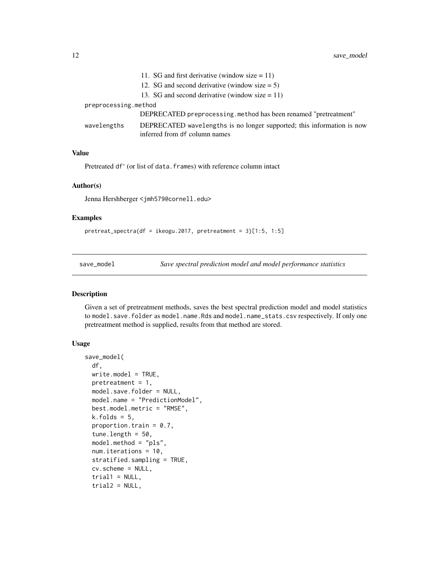<span id="page-11-0"></span>

|                      | 11. SG and first derivative (window size $= 11$ )                                                       |
|----------------------|---------------------------------------------------------------------------------------------------------|
|                      | 12. SG and second derivative (window size $= 5$ )                                                       |
|                      | 13. SG and second derivative (window size $= 11$ )                                                      |
| preprocessing.method |                                                                                                         |
|                      | DEPRECATED preprocessing method has been renamed "pretreatment"                                         |
| wavelengths          | DEPRECATED wavelengths is no longer supported; this information is now<br>inferred from df column names |

#### Value

Pretreated df' (or list of data.frames) with reference column intact

#### Author(s)

Jenna Hershberger <jmh579@cornell.edu>

#### Examples

```
pretreat_spectra(df = ikeogu.2017, pretreatment = 3)[1:5, 1:5]
```
<span id="page-11-1"></span>save\_model *Save spectral prediction model and model performance statistics*

# Description

Given a set of pretreatment methods, saves the best spectral prediction model and model statistics to model.save.folder as model.name.Rds and model.name\_stats.csv respectively. If only one pretreatment method is supplied, results from that method are stored.

#### Usage

```
save_model(
  df,
 write.model = TRUE,pretreatment = 1,
 model.save.folder = NULL,
 model.name = "PredictionModel",
 best.model.metric = "RMSE",
 k.folds = 5,
 proportion.train = 0.7,
  tune.length = 50,
 model.method = "pls",
 num.iterations = 10,
  stratified.sampling = TRUE,
  cv.scheme = NULL,
  trial1 = NULL,trial2 = NULL,
```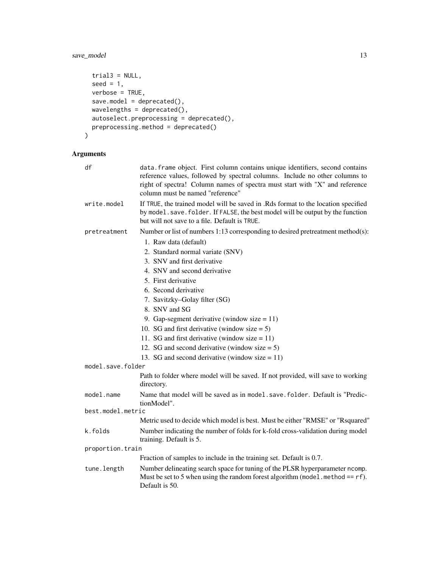# save\_model 13

```
trial3 = NULL,seed = 1,
 verbose = TRUE,
 save.model = deprecated(),
 wavelengths = deprecated(),
 autoselect.preprocessing = deprecated(),
 preprocessing.method = deprecated()
\mathcal{L}
```

| df                | data. frame object. First column contains unique identifiers, second contains<br>reference values, followed by spectral columns. Include no other columns to<br>right of spectra! Column names of spectra must start with "X" and reference<br>column must be named "reference" |  |  |  |  |  |  |
|-------------------|---------------------------------------------------------------------------------------------------------------------------------------------------------------------------------------------------------------------------------------------------------------------------------|--|--|--|--|--|--|
| write.model       | If TRUE, the trained model will be saved in .Rds format to the location specified<br>by model. save. folder. If FALSE, the best model will be output by the function<br>but will not save to a file. Default is TRUE.                                                           |  |  |  |  |  |  |
| pretreatment      | Number or list of numbers 1:13 corresponding to desired pretreatment method(s):                                                                                                                                                                                                 |  |  |  |  |  |  |
|                   | 1. Raw data (default)                                                                                                                                                                                                                                                           |  |  |  |  |  |  |
|                   | 2. Standard normal variate (SNV)                                                                                                                                                                                                                                                |  |  |  |  |  |  |
|                   | 3. SNV and first derivative                                                                                                                                                                                                                                                     |  |  |  |  |  |  |
|                   | 4. SNV and second derivative                                                                                                                                                                                                                                                    |  |  |  |  |  |  |
|                   | 5. First derivative                                                                                                                                                                                                                                                             |  |  |  |  |  |  |
|                   | 6. Second derivative                                                                                                                                                                                                                                                            |  |  |  |  |  |  |
|                   | 7. Savitzky-Golay filter (SG)                                                                                                                                                                                                                                                   |  |  |  |  |  |  |
|                   | 8. SNV and SG                                                                                                                                                                                                                                                                   |  |  |  |  |  |  |
|                   | 9. Gap-segment derivative (window size $= 11$ )                                                                                                                                                                                                                                 |  |  |  |  |  |  |
|                   | 10. SG and first derivative (window size $= 5$ )                                                                                                                                                                                                                                |  |  |  |  |  |  |
|                   | 11. SG and first derivative (window size $= 11$ )                                                                                                                                                                                                                               |  |  |  |  |  |  |
|                   | 12. SG and second derivative (window size $= 5$ )                                                                                                                                                                                                                               |  |  |  |  |  |  |
|                   | 13. SG and second derivative (window size $= 11$ )                                                                                                                                                                                                                              |  |  |  |  |  |  |
|                   | model.save.folder                                                                                                                                                                                                                                                               |  |  |  |  |  |  |
|                   | Path to folder where model will be saved. If not provided, will save to working<br>directory.                                                                                                                                                                                   |  |  |  |  |  |  |
| model.name        | Name that model will be saved as in model, save, folder. Default is "Predic-<br>tionModel".                                                                                                                                                                                     |  |  |  |  |  |  |
| best.model.metric |                                                                                                                                                                                                                                                                                 |  |  |  |  |  |  |
|                   | Metric used to decide which model is best. Must be either "RMSE" or "Rsquared"                                                                                                                                                                                                  |  |  |  |  |  |  |
| k.folds           | Number indicating the number of folds for k-fold cross-validation during model<br>training. Default is 5.                                                                                                                                                                       |  |  |  |  |  |  |
| proportion.train  |                                                                                                                                                                                                                                                                                 |  |  |  |  |  |  |
|                   | Fraction of samples to include in the training set. Default is 0.7.                                                                                                                                                                                                             |  |  |  |  |  |  |
| tune.length       | Number delineating search space for tuning of the PLSR hyperparameter ncomp.<br>Must be set to 5 when using the random forest algorithm (model . method == $rf$ ).<br>Default is 50.                                                                                            |  |  |  |  |  |  |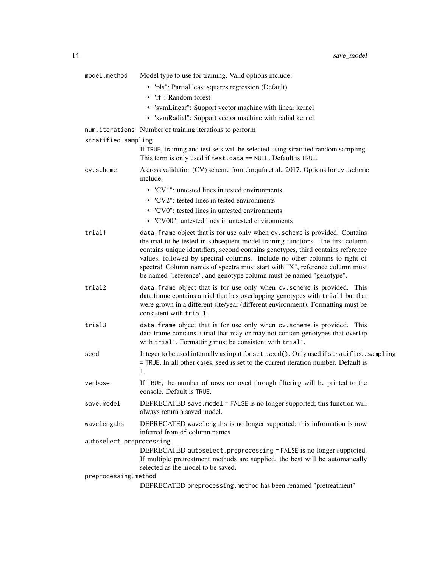| model.method             | Model type to use for training. Valid options include:                                                                                                                                                                                                                                                                                                                                                                                                                                   |
|--------------------------|------------------------------------------------------------------------------------------------------------------------------------------------------------------------------------------------------------------------------------------------------------------------------------------------------------------------------------------------------------------------------------------------------------------------------------------------------------------------------------------|
|                          | · "pls": Partial least squares regression (Default)<br>• "rf": Random forest                                                                                                                                                                                                                                                                                                                                                                                                             |
|                          | • "svmLinear": Support vector machine with linear kernel                                                                                                                                                                                                                                                                                                                                                                                                                                 |
|                          | • "svmRadial": Support vector machine with radial kernel                                                                                                                                                                                                                                                                                                                                                                                                                                 |
|                          | num. iterations Number of training iterations to perform                                                                                                                                                                                                                                                                                                                                                                                                                                 |
| stratified.sampling      |                                                                                                                                                                                                                                                                                                                                                                                                                                                                                          |
|                          | If TRUE, training and test sets will be selected using stratified random sampling.<br>This term is only used if test.data == NULL. Default is TRUE.                                                                                                                                                                                                                                                                                                                                      |
| cv.scheme                | A cross validation (CV) scheme from Jarquín et al., 2017. Options for cv. scheme<br>include:                                                                                                                                                                                                                                                                                                                                                                                             |
|                          | • "CV1": untested lines in tested environments                                                                                                                                                                                                                                                                                                                                                                                                                                           |
|                          | • "CV2": tested lines in tested environments                                                                                                                                                                                                                                                                                                                                                                                                                                             |
|                          | • "CV0": tested lines in untested environments                                                                                                                                                                                                                                                                                                                                                                                                                                           |
|                          | • "CV00": untested lines in untested environments                                                                                                                                                                                                                                                                                                                                                                                                                                        |
| trial1                   | data. frame object that is for use only when cv. scheme is provided. Contains<br>the trial to be tested in subsequent model training functions. The first column<br>contains unique identifiers, second contains genotypes, third contains reference<br>values, followed by spectral columns. Include no other columns to right of<br>spectra! Column names of spectra must start with "X", reference column must<br>be named "reference", and genotype column must be named "genotype". |
| trial2                   | data. frame object that is for use only when cv. scheme is provided. This<br>data.frame contains a trial that has overlapping genotypes with trial1 but that<br>were grown in a different site/year (different environment). Formatting must be<br>consistent with trial1.                                                                                                                                                                                                               |
| trial3                   | data. frame object that is for use only when cv. scheme is provided. This<br>data.frame contains a trial that may or may not contain genotypes that overlap<br>with trial1. Formatting must be consistent with trial1.                                                                                                                                                                                                                                                                   |
| seed                     | Integer to be used internally as input for set. seed(). Only used if stratified. sampling<br>= TRUE. In all other cases, seed is set to the current iteration number. Default is<br>1.                                                                                                                                                                                                                                                                                                   |
| verbose                  | If TRUE, the number of rows removed through filtering will be printed to the<br>console. Default is TRUE.                                                                                                                                                                                                                                                                                                                                                                                |
| save.model               | DEPRECATED save.mode1 = FALSE is no longer supported; this function will<br>always return a saved model.                                                                                                                                                                                                                                                                                                                                                                                 |
| wavelengths              | DEPRECATED wavelengths is no longer supported; this information is now<br>inferred from df column names                                                                                                                                                                                                                                                                                                                                                                                  |
| autoselect.preprocessing | DEPRECATED autoselect.preprocessing = FALSE is no longer supported.<br>If multiple pretreatment methods are supplied, the best will be automatically<br>selected as the model to be saved.                                                                                                                                                                                                                                                                                               |
| preprocessing.method     |                                                                                                                                                                                                                                                                                                                                                                                                                                                                                          |
|                          |                                                                                                                                                                                                                                                                                                                                                                                                                                                                                          |

DEPRECATED preprocessing.method has been renamed "pretreatment"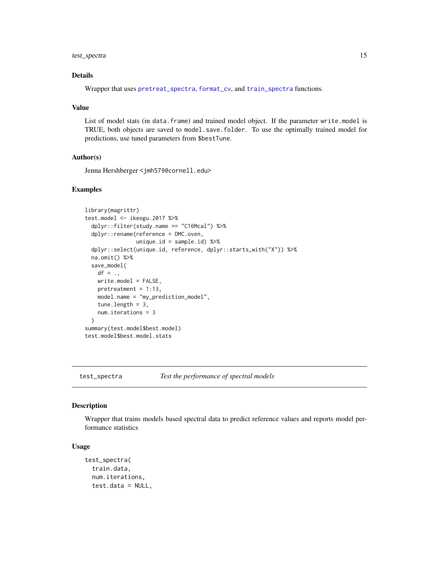#### <span id="page-14-0"></span>test\_spectra 15

#### Details

Wrapper that uses [pretreat\\_spectra](#page-10-1), [format\\_cv](#page-4-1), and [train\\_spectra](#page-0-0) functions.

#### Value

List of model stats (in data.frame) and trained model object. If the parameter write.model is TRUE, both objects are saved to model.save.folder. To use the optimally trained model for predictions, use tuned parameters from \$bestTune.

#### Author(s)

Jenna Hershberger <jmh579@cornell.edu>

#### Examples

```
library(magrittr)
test.model <- ikeogu.2017 %>%
  dplyr::filter(study.name == "C16Mcal") %>%
  dplyr::rename(reference = DMC.oven,
                unique.id = sample.id) %dplyr::select(unique.id, reference, dplyr::starts_with("X")) %>%
  na.omit() %>%
  save_model(
   df = .,
   write.model = FALSE,
   pretreatment = 1:13,
   model.name = "my_prediction_model",
   tune.length = 3,
   num.iterations = 3
  \lambdasummary(test.model$best.model)
test.model$best.model.stats
```
test\_spectra *Test the performance of spectral models*

#### Description

Wrapper that trains models based spectral data to predict reference values and reports model performance statistics

#### Usage

```
test_spectra(
  train.data,
  num.iterations,
  test.data = NULL,
```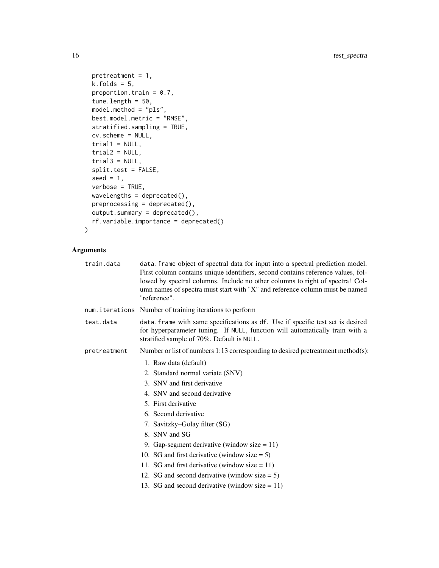```
pretreatment = 1,
 k.folds = 5,
 proportion.train = 0.7,
  tune.length = 50,
 model.method = "pls",
 best.model.metric = "RMSE",
  stratified.sampling = TRUE,
  cv.scheme = NULL,
  trial1 = NULL,trial2 = NULL,trial3 = NULL,split.test = FALSE,
  seed = 1,
 verbose = TRUE,
 wavelengths = deprecated(),
 preprocessing = deprecated(),
 output.summary = deprecated(),
 rf.variable.importance = deprecated()
\mathcal{L}
```

| train.data   | data. frame object of spectral data for input into a spectral prediction model.<br>First column contains unique identifiers, second contains reference values, fol-<br>lowed by spectral columns. Include no other columns to right of spectra! Col-<br>umn names of spectra must start with "X" and reference column must be named<br>"reference".                                                                                        |
|--------------|--------------------------------------------------------------------------------------------------------------------------------------------------------------------------------------------------------------------------------------------------------------------------------------------------------------------------------------------------------------------------------------------------------------------------------------------|
|              | num. iterations Number of training iterations to perform                                                                                                                                                                                                                                                                                                                                                                                   |
| test.data    | data. frame with same specifications as df. Use if specific test set is desired<br>for hyperparameter tuning. If NULL, function will automatically train with a<br>stratified sample of 70%. Default is NULL.                                                                                                                                                                                                                              |
| pretreatment | Number or list of numbers $1:13$ corresponding to desired pretreatment method(s):                                                                                                                                                                                                                                                                                                                                                          |
|              | 1. Raw data (default)<br>2. Standard normal variate (SNV)<br>3. SNV and first derivative<br>4. SNV and second derivative<br>5. First derivative<br>6. Second derivative<br>7. Savitzky–Golay filter (SG)<br>8. SNV and SG<br>9. Gap-segment derivative (window size $= 11$ )<br>10. SG and first derivative (window size $= 5$ )<br>11. SG and first derivative (window size $= 11$ )<br>12. SG and second derivative (window size $= 5$ ) |
|              | 13. SG and second derivative (window size $= 11$ )                                                                                                                                                                                                                                                                                                                                                                                         |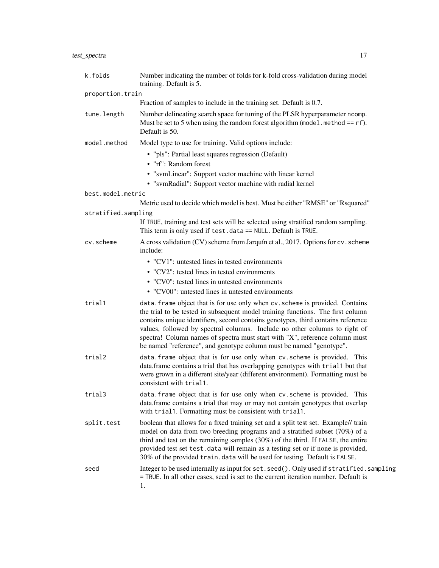| k.folds             | Number indicating the number of folds for k-fold cross-validation during model<br>training. Default is 5.                                                                                                                                                                                                                                                                                                                                                                                |
|---------------------|------------------------------------------------------------------------------------------------------------------------------------------------------------------------------------------------------------------------------------------------------------------------------------------------------------------------------------------------------------------------------------------------------------------------------------------------------------------------------------------|
| proportion.train    |                                                                                                                                                                                                                                                                                                                                                                                                                                                                                          |
|                     | Fraction of samples to include in the training set. Default is 0.7.                                                                                                                                                                                                                                                                                                                                                                                                                      |
| tune.length         | Number delineating search space for tuning of the PLSR hyperparameter ncomp.<br>Must be set to 5 when using the random forest algorithm (model . method == $rf$ ).<br>Default is 50.                                                                                                                                                                                                                                                                                                     |
| model.method        | Model type to use for training. Valid options include:                                                                                                                                                                                                                                                                                                                                                                                                                                   |
|                     | • "pls": Partial least squares regression (Default)<br>• "rf": Random forest                                                                                                                                                                                                                                                                                                                                                                                                             |
|                     | • "svmLinear": Support vector machine with linear kernel                                                                                                                                                                                                                                                                                                                                                                                                                                 |
|                     | • "svmRadial": Support vector machine with radial kernel                                                                                                                                                                                                                                                                                                                                                                                                                                 |
| best.model.metric   |                                                                                                                                                                                                                                                                                                                                                                                                                                                                                          |
|                     | Metric used to decide which model is best. Must be either "RMSE" or "Rsquared"                                                                                                                                                                                                                                                                                                                                                                                                           |
| stratified.sampling |                                                                                                                                                                                                                                                                                                                                                                                                                                                                                          |
|                     | If TRUE, training and test sets will be selected using stratified random sampling.<br>This term is only used if test.data == NULL. Default is TRUE.                                                                                                                                                                                                                                                                                                                                      |
| cv.scheme           | A cross validation (CV) scheme from Jarquín et al., 2017. Options for cv. scheme<br>include:                                                                                                                                                                                                                                                                                                                                                                                             |
|                     | • "CV1": untested lines in tested environments                                                                                                                                                                                                                                                                                                                                                                                                                                           |
|                     | • "CV2": tested lines in tested environments                                                                                                                                                                                                                                                                                                                                                                                                                                             |
|                     | • "CV0": tested lines in untested environments                                                                                                                                                                                                                                                                                                                                                                                                                                           |
|                     | • "CV00": untested lines in untested environments                                                                                                                                                                                                                                                                                                                                                                                                                                        |
| trial1              | data. frame object that is for use only when cv. scheme is provided. Contains<br>the trial to be tested in subsequent model training functions. The first column<br>contains unique identifiers, second contains genotypes, third contains reference<br>values, followed by spectral columns. Include no other columns to right of<br>spectra! Column names of spectra must start with "X", reference column must<br>be named "reference", and genotype column must be named "genotype". |
| trial2              | data. frame object that is for use only when cv. scheme is provided. This<br>data.frame contains a trial that has overlapping genotypes with trial1 but that<br>were grown in a different site/year (different environment). Formatting must be<br>consistent with trial1.                                                                                                                                                                                                               |
| trial3              | data. frame object that is for use only when cv. scheme is provided. This<br>data.frame contains a trial that may or may not contain genotypes that overlap<br>with trial1. Formatting must be consistent with trial1.                                                                                                                                                                                                                                                                   |
| split.test          | boolean that allows for a fixed training set and a split test set. Example// train<br>model on data from two breeding programs and a stratified subset (70%) of a<br>third and test on the remaining samples (30%) of the third. If FALSE, the entire<br>provided test set test.data will remain as a testing set or if none is provided,<br>30% of the provided train. data will be used for testing. Default is FALSE.                                                                 |
| seed                | Integer to be used internally as input for set. seed(). Only used if stratified. sampling<br>= TRUE. In all other cases, seed is set to the current iteration number. Default is<br>1.                                                                                                                                                                                                                                                                                                   |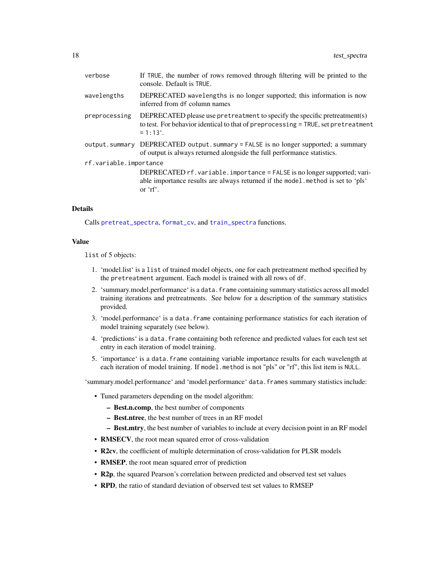<span id="page-17-0"></span>

| verbose                | If TRUE, the number of rows removed through filtering will be printed to the<br>console. Default is TRUE.                                                                             |  |
|------------------------|---------------------------------------------------------------------------------------------------------------------------------------------------------------------------------------|--|
| wavelengths            | DEPRECATED wavelengths is no longer supported; this information is now<br>inferred from df column names                                                                               |  |
| preprocessing          | DEPRECATED please use pretreatment to specify the specific pretreatment(s)<br>to test. For behavior identical to that of preprocessing = TRUE, set pretreatment<br>$= 1:13^{\circ}$ . |  |
|                        | output.summary DEPRECATED output.summary = FALSE is no longer supported; a summary<br>of output is always returned alongside the full performance statistics.                         |  |
| rf.variable.importance |                                                                                                                                                                                       |  |
|                        | DEPRECATED rf. variable. importance = FALSE is no longer supported; vari-<br>able importance results are always returned if the model method is set to 'pls'<br>or $\mathsf{r}$ .     |  |

#### Details

Calls [pretreat\\_spectra](#page-10-1), [format\\_cv](#page-4-1), and [train\\_spectra](#page-0-0) functions.

#### Value

list of 5 objects:

- 1. 'model.list' is a list of trained model objects, one for each pretreatment method specified by the pretreatment argument. Each model is trained with all rows of df.
- 2. 'summary.model.performance' is a data.frame containing summary statistics across all model training iterations and pretreatments. See below for a description of the summary statistics provided.
- 3. 'model.performance' is a data.frame containing performance statistics for each iteration of model training separately (see below).
- 4. 'predictions' is a data.frame containing both reference and predicted values for each test set entry in each iteration of model training.
- 5. 'importance' is a data.frame containing variable importance results for each wavelength at each iteration of model training. If model.method is not "pls" or "rf", this list item is NULL.

'summary.model.performance' and 'model.performance' data.frames summary statistics include:

- Tuned parameters depending on the model algorithm:
	- Best.n.comp, the best number of components
	- Best.ntree, the best number of trees in an RF model
	- Best.mtry, the best number of variables to include at every decision point in an RF model
- RMSECV, the root mean squared error of cross-validation
- R2cv, the coefficient of multiple determination of cross-validation for PLSR models
- RMSEP, the root mean squared error of prediction
- R2p, the squared Pearson's correlation between predicted and observed test set values
- RPD, the ratio of standard deviation of observed test set values to RMSEP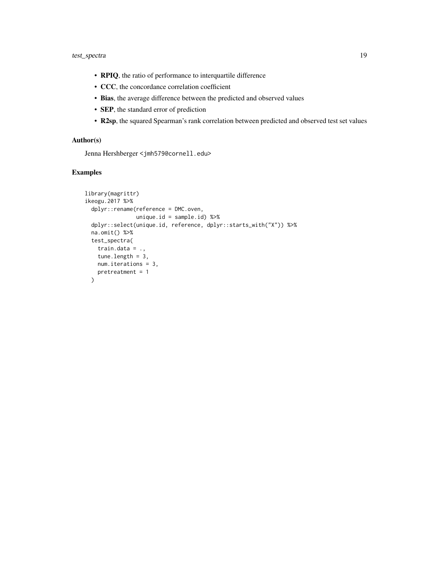- RPIQ, the ratio of performance to interquartile difference
- CCC, the concordance correlation coefficient
- Bias, the average difference between the predicted and observed values
- SEP, the standard error of prediction
- R2sp, the squared Spearman's rank correlation between predicted and observed test set values

#### Author(s)

Jenna Hershberger <jmh579@cornell.edu>

```
library(magrittr)
ikeogu.2017 %>%
 dplyr::rename(reference = DMC.oven,
               unique.id = sample.id) %>%
 dplyr::select(unique.id, reference, dplyr::starts_with("X")) %>%
 na.omit() %>%
 test_spectra(
   train.data = .,
   tune.length = 3,
   num.iterations = 3,
   pretreatment = 1
 )
```